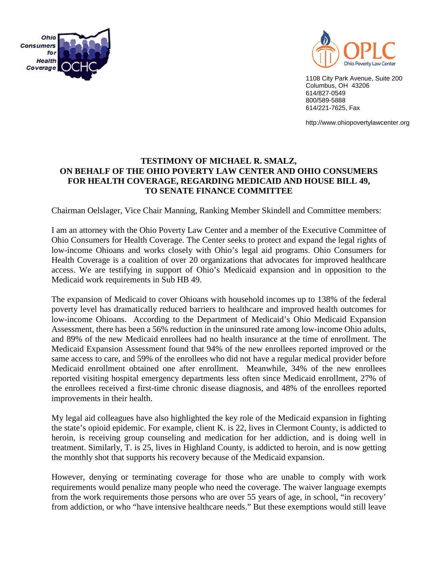



1108 City Park Avenue, Suite 200 Columbus, OH 43206 614/827-0549 800/589-5888 614/221-7625, Fax

http://www.ohiopovertylawcenter.org

## **TESTIMONY OF MICHAEL R. SMALZ, ON BEHALF OF THE OHIO POVERTY LAW CENTER AND OHIO CONSUMERS FOR HEALTH COVERAGE, REGARDING MEDICAID AND HOUSE BILL 49, TO SENATE FINANCE COMMITTEE**

Chairman Oelslager, Vice Chair Manning, Ranking Member Skindell and Committee members:

I am an attorney with the Ohio Poverty Law Center and a member of the Executive Committee of Ohio Consumers for Health Coverage. The Center seeks to protect and expand the legal rights of low-income Ohioans and works closely with Ohio's legal aid programs. Ohio Consumers for Health Coverage is a coalition of over 20 organizations that advocates for improved healthcare access. We are testifying in support of Ohio's Medicaid expansion and in opposition to the Medicaid work requirements in Sub HB 49.

The expansion of Medicaid to cover Ohioans with household incomes up to 138% of the federal poverty level has dramatically reduced barriers to healthcare and improved health outcomes for low-income Ohioans. According to the Department of Medicaid's Ohio Medicaid Expansion Assessment, there has been a 56% reduction in the uninsured rate among low-income Ohio adults, and 89% of the new Medicaid enrollees had no health insurance at the time of enrollment. The Medicaid Expansion Assessment found that 94% of the new enrollees reported improved or the same access to care, and 59% of the enrollees who did not have a regular medical provider before Medicaid enrollment obtained one after enrollment. Meanwhile, 34% of the new enrollees reported visiting hospital emergency departments less often since Medicaid enrollment, 27% of the enrollees received a first-time chronic disease diagnosis, and 48% of the enrollees reported improvements in their health.

My legal aid colleagues have also highlighted the key role of the Medicaid expansion in fighting the state's opioid epidemic. For example, client K. is 22, lives in Clermont County, is addicted to heroin, is receiving group counseling and medication for her addiction, and is doing well in treatment. Similarly, T. is 25, lives in Highland County, is addicted to heroin, and is now getting the monthly shot that supports his recovery because of the Medicaid expansion.

However, denying or terminating coverage for those who are unable to comply with work requirements would penalize many people who need the coverage. The waiver language exempts from the work requirements those persons who are over 55 years of age, in school, "in recovery' from addiction, or who "have intensive healthcare needs." But these exemptions would still leave